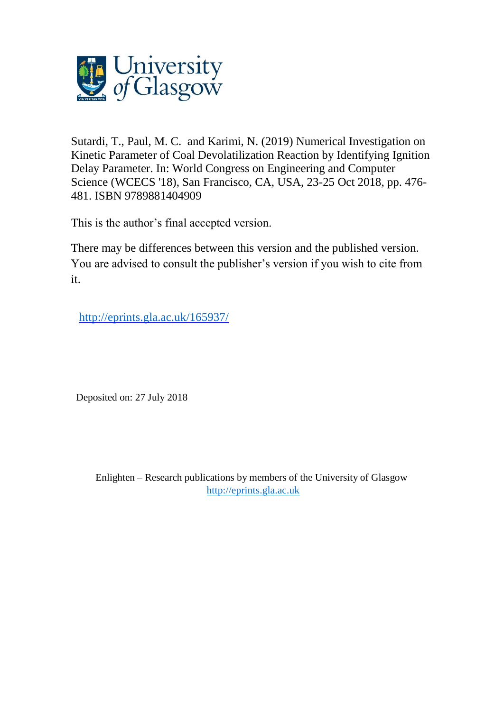

Sutardi, T., Paul, M. C. and Karimi, N. (2019) Numerical Investigation on Kinetic Parameter of Coal Devolatilization Reaction by Identifying Ignition Delay Parameter. In: World Congress on Engineering and Computer Science (WCECS '18), San Francisco, CA, USA, 23-25 Oct 2018, pp. 476- 481. ISBN 9789881404909

This is the author's final accepted version.

There may be differences between this version and the published version. You are advised to consult the publisher's version if you wish to cite from it.

http://eprints.gla.ac.uk/165937/

Deposited on: 27 July 2018

Enlighten – Research publications by members of the University of Glasgow [http://eprints.gla.ac.uk](http://eprints.gla.ac.uk/)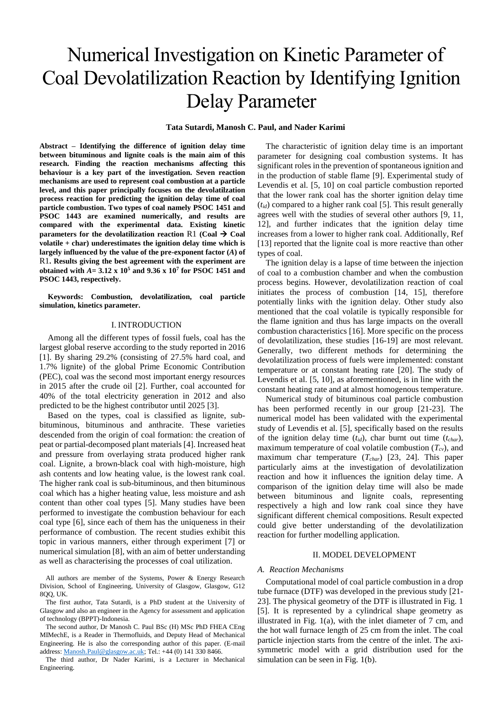# Numerical Investigation on Kinetic Parameter of Coal Devolatilization Reaction by Identifying Ignition Delay Parameter

# **Tata Sutardi, Manosh C. Paul, and Nader Karimi**

**Abstract – Identifying the difference of ignition delay time between bituminous and lignite coals is the main aim of this research. Finding the reaction mechanisms affecting this behaviour is a key part of the investigation. Seven reaction mechanisms are used to represent coal combustion at a particle level, and this paper principally focuses on the devolatilzation process reaction for predicting the ignition delay time of coal particle combustion. Two types of coal namely PSOC 1451 and PSOC 1443 are examined numerically, and results are compared with the experimental data. Existing kinetic parameters for the devolatilization reaction**  $R1$  **(Coal**  $\rightarrow$  **Coal volatile + char) underestimates the ignition delay time which is largely influenced by the value of the pre-exponent factor (***A***) of**  [R1](#page-2-0)**. Results giving the best agreement with the experiment are obtained with** *A=* **3.12 x 10<sup>5</sup> and 9.36 x 10<sup>7</sup> for PSOC 1451 and PSOC 1443, respectively.** 

**Keywords: Combustion, devolatilization, coal particle simulation, kinetics parameter.**

### I. INTRODUCTION

Among all the different types of fossil fuels, coal has the largest global reserve according to the study reported in 2016 [\[1\]](#page-5-0). By sharing 29.2% (consisting of 27.5% hard coal, and 1.7% lignite) of the global Prime Economic Contribution (PEC), coal was the second most important energy resources in 2015 after the crude oil [\[2\]](#page-5-1). Further, coal accounted for 40% of the total electricity generation in 2012 and also predicted to be the highest contributor until 2025 [\[3\]](#page-5-2).

Based on the types, coal is classified as lignite, subbituminous, bituminous and anthracite. These varieties descended from the origin of coal formation: the creation of peat or partial-decomposed plant materials [\[4\]](#page-5-3). Increased heat and pressure from overlaying strata produced higher rank coal. Lignite, a brown-black coal with high-moisture, high ash contents and low heating value, is the lowest rank coal. The higher rank coal is sub-bituminous, and then bituminous coal which has a higher heating value, less moisture and ash content than other coal types [\[5\]](#page-5-4). Many studies have been performed to investigate the combustion behaviour for each coal type [\[6\]](#page-5-5), since each of them has the uniqueness in their performance of combustion. The recent studies exhibit this topic in various manners, either through experiment [\[7\]](#page-5-6) or numerical simulation [\[8\]](#page-5-7), with an aim of better understanding as well as characterising the processes of coal utilization.

All authors are member of the Systems, Power & Energy Research Division, School of Engineering, University of Glasgow, Glasgow, G12 8QQ, UK.

The first author, Tata Sutardi, is a PhD student at the University of Glasgow and also an engineer in the Agency for assessment and application of technology (BPPT)-Indonesia.

The second author, Dr Manosh C. Paul BSc (H) MSc PhD FHEA CEng MIMechE, is a Reader in Thermofluids, and Deputy Head of Mechanical Engineering. He is also the corresponding author of this paper. (E-mail address[: Manosh.Paul@glasgow.ac.uk;](mailto:Manosh.Paul@glasgow.ac.uk) Tel.: +44 (0) 141 330 8466.

The third author, Dr Nader Karimi, is a Lecturer in Mechanical Engineering.

The characteristic of ignition delay time is an important parameter for designing coal combustion systems. It has significant roles in the prevention of spontaneous ignition and in the production of stable flame [\[9\]](#page-5-8). Experimental study of Levendis et al. [\[5,](#page-5-4) [10\]](#page-5-9) on coal particle combustion reported that the lower rank coal has the shorter ignition delay time (*tid*) compared to a higher rank coal [\[5\]](#page-5-4). This result generally agrees well with the studies of several other authors [\[9,](#page-5-8) [11,](#page-5-10) [12\]](#page-5-11), and further indicates that the ignition delay time increases from a lower to higher rank coal. Additionally, Ref [\[13\]](#page-5-12) reported that the lignite coal is more reactive than other types of coal.

The ignition delay is a lapse of time between the injection of coal to a combustion chamber and when the combustion process begins. However, devolatilization reaction of coal initiates the process of combustion [\[14,](#page-5-13) [15\]](#page-5-14), therefore potentially links with the ignition delay. Other study also mentioned that the coal volatile is typically responsible for the flame ignition and thus has large impacts on the overall combustion characteristics [\[16\]](#page-5-15). More specific on the process of devolatilization, these studies [\[16-19\]](#page-5-15) are most relevant. Generally, two different methods for determining the devolatilization process of fuels were implemented: constant temperature or at constant heating rate [\[20\]](#page-6-0). The study of Levendis et al. [\[5,](#page-5-4) [10\]](#page-5-9), as aforementioned, is in line with the constant heating rate and at almost homogenous temperature.

Numerical study of bituminous coal particle combustion has been performed recently in our group [\[21-23\]](#page-6-1). The numerical model has been validated with the experimental study of Levendis et al. [\[5\]](#page-5-4), specifically based on the results of the ignition delay time  $(t_{id})$ , char burnt out time  $(t_{char})$ , maximum temperature of coal volatile combustion (*Tcv*), and maximum char temperature (*Tchar*) [\[23,](#page-6-2) [24\]](#page-6-3). This paper particularly aims at the investigation of devolatilization reaction and how it influences the ignition delay time. A comparison of the ignition delay time will also be made between bituminous and lignite coals, representing respectively a high and low rank coal since they have significant different chemical compositions. Result expected could give better understanding of the devolatilization reaction for further modelling application.

#### II. MODEL DEVELOPMENT

#### *A. Reaction Mechanisms*

Computational model of coal particle combustion in a drop tube furnace (DTF) was developed in the previous study [\[21-](#page-6-1) [23\]](#page-6-1). The physical geometry of the DTF is illustrated in [Fig. 1](#page-2-1) [\[5\]](#page-5-4). It is represented by a cylindrical shape geometry as illustrated in [Fig. 1\(](#page-2-1)a), with the inlet diameter of 7 cm, and the hot wall furnace length of 25 cm from the inlet. The coal particle injection starts from the centre of the inlet. The axisymmetric model with a grid distribution used for the simulation can be seen in [Fig. 1\(](#page-2-1)b).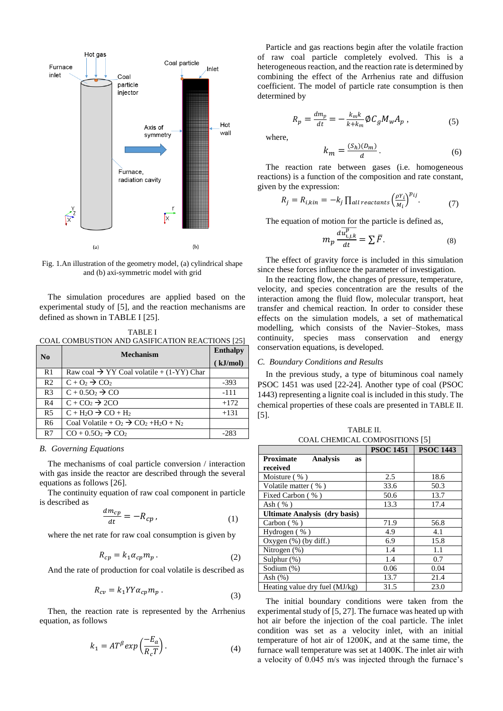

<span id="page-2-1"></span>Fig. 1.An illustration of the geometry model, (a) cylindrical shape and (b) axi-symmetric model with grid

The simulation procedures are applied based on the experimental study of [\[5\]](#page-5-4), and the reaction mechanisms are defined as shown in [TABLE I](#page-2-2) [\[25\]](#page-6-4).

<span id="page-2-2"></span>TABLE I COAL COMBUSTION AND GASIFICATION REACTIONS [\[25\]](#page-6-4)

<span id="page-2-5"></span><span id="page-2-4"></span><span id="page-2-0"></span>

| N <sub>0</sub> | <b>Mechanism</b>                                      | <b>Enthalpy</b> |
|----------------|-------------------------------------------------------|-----------------|
|                |                                                       | (kJ/mol)        |
| R <sub>1</sub> | Raw coal $\rightarrow$ YY Coal volatile + (1-YY) Char |                 |
| R <sub>2</sub> | $C + O_2 \rightarrow CO_2$                            | $-393$          |
| R <sub>3</sub> | $C + 0.50$ <sub>2</sub> $\rightarrow$ CO              | $-111$          |
| R <sub>4</sub> | $C + CO2 \rightarrow 2CO$                             | $+172$          |
| R <sub>5</sub> | $C + H2O \rightarrow CO + H2$                         | $+131$          |
| R <sub>6</sub> | Coal Volatile + $O_2 \rightarrow CO_2 + H_2O + N_2$   |                 |
| R7             | $CO + 0.5O2 \rightarrow CO2$                          |                 |

### <span id="page-2-9"></span><span id="page-2-8"></span><span id="page-2-7"></span><span id="page-2-6"></span>*B. Governing Equations*

The mechanisms of coal particle conversion / interaction with gas inside the reactor are described through the several equations as follows [\[26\]](#page-6-5).

The continuity equation of raw coal component in particle is described as

$$
\frac{dm_{cp}}{dt} = -R_{cp} \,,\tag{1}
$$

where the net rate for raw coal consumption is given by

$$
R_{cp} = k_1 \alpha_{cp} m_p \,. \tag{2}
$$

And the rate of production for coal volatile is described as

$$
R_{cv} = k_1 Y Y \alpha_{cp} m_p \,. \tag{3}
$$

Then, the reaction rate is represented by the Arrhenius equation, as follows

$$
k_1 = AT^{\beta} \exp\left(\frac{-E_a}{R_c T}\right). \tag{4}
$$

Particle and gas reactions begin after the volatile fraction of raw coal particle completely evolved. This is a heterogeneous reaction, and the reaction rate is determined by combining the effect of the Arrhenius rate and diffusion coefficient. The model of particle rate consumption is then determined by

$$
R_p = \frac{dm_p}{dt} = -\frac{k_m k}{k + k_m} \phi C_g M_w A_p , \qquad (5)
$$

where,

$$
k_m = \frac{(S_h)(D_m)}{d}.
$$
 (6)

The reaction rate between gases (i.e. homogeneous reactions) is a function of the composition and rate constant, given by the expression:

$$
R_j = R_{i,kin} = -k_j \prod_{all \ reactants} \left(\frac{\rho Y_i}{M_i}\right)^{p_{ij}}.
$$
 (7)

The equation of motion for the particle is defined as,

$$
m_p \frac{d\overline{u_{i,j,k}^p}}{dt} = \sum \overline{F}.
$$
 (8)

The effect of gravity force is included in this simulation since these forces influence the parameter of investigation.

In the reacting flow, the changes of pressure, temperature, velocity, and species concentration are the results of the interaction among the fluid flow, molecular transport, heat transfer and chemical reaction. In order to consider these effects on the simulation models, a set of mathematical modelling, which consists of the Navier–Stokes, mass continuity, species mass conservation and energy conservation equations, is developed.

#### *C. Boundary Conditions and Results*

In the previous study, a type of bituminous coal namely PSOC 1451 was used [\[22-24\]](#page-6-6). Another type of coal (PSOC 1443) representing a lignite coal is included in this study. The chemical properties of these coals are presented in [TABLE II.](#page-2-3) [\[5\]](#page-5-4).

TABLE II. COAL CHEMICAL COMPOSITIONS [\[5\]](#page-5-4)

<span id="page-2-3"></span>

|                                           | <b>PSOC 1451</b> | <b>PSOC 1443</b> |
|-------------------------------------------|------------------|------------------|
| Proximate<br><b>Analysis</b><br><b>as</b> |                  |                  |
| received                                  |                  |                  |
| Moisture $(\% )$                          | 2.5              | 18.6             |
| Volatile matter (%)                       | 33.6             | 50.3             |
| Fixed Carbon (%)                          | 50.6             | 13.7             |
| Ash $(\% )$                               | 13.3             | 17.4             |
| <b>Ultimate Analysis (dry basis)</b>      |                  |                  |
| Carbon $(\% )$                            | 71.9             | 56.8             |
| Hydrogen (%)                              | 4.9              | 4.1              |
| Oxygen $(\%)$ (by diff.)                  | 6.9              | 15.8             |
| Nitrogen $(\%)$                           | 1.4              | 1.1              |
| Sulphur $(\%)$                            | 1.4              | 0.7              |
| Sodium (%)                                | 0.06             | 0.04             |
| Ash $(\%)$                                | 13.7             | 21.4             |
| Heating value dry fuel $(MJ/kg)$          | 31.5             | 23.0             |

The initial boundary conditions were taken from the experimental study of [\[5,](#page-5-4) [27\]](#page-6-7). The furnace was heated up with hot air before the injection of the coal particle. The inlet condition was set as a velocity inlet, with an initial temperature of hot air of 1200K, and at the same time, the furnace wall temperature was set at 1400K. The inlet air with a velocity of 0.045 m/s was injected through the furnace's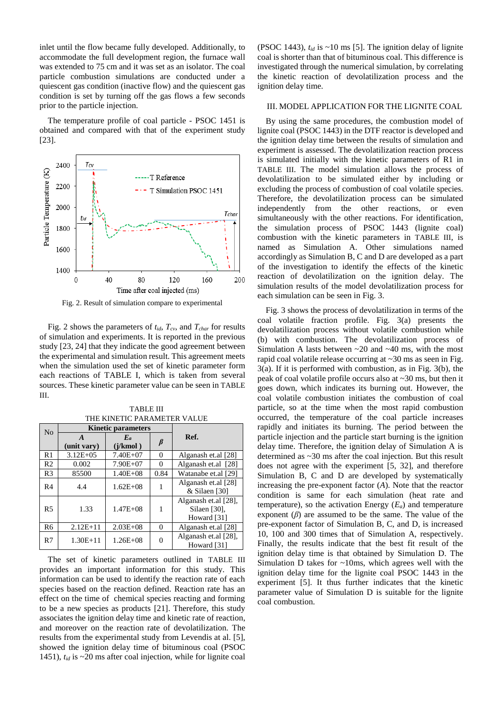inlet until the flow became fully developed. Additionally, to accommodate the full development region, the furnace wall was extended to 75 cm and it was set as an isolator. The coal particle combustion simulations are conducted under a quiescent gas condition (inactive flow) and the quiescent gas condition is set by turning off the gas flows a few seconds prior to the particle injection.

The temperature profile of coal particle - PSOC 1451 is obtained and compared with that of the experiment study [\[23\]](#page-6-2).



Fig. 2. Result of simulation compare to experimental

<span id="page-3-0"></span>[Fig. 2](#page-3-0) shows the parameters of  $t_{id}$ ,  $T_{cv}$ , and  $T_{char}$  for results of simulation and experiments. It is reported in the previous study [\[23,](#page-6-2) [24\]](#page-6-3) that they indicate the good agreement between the experimental and simulation result. This agreement meets when the simulation used the set of kinetic parameter form each reactions of [TABLE I,](#page-2-2) which is taken from several sources. These kinetic parameter value can be seen in [TABLE](#page-3-1)  [III](#page-3-1).

<span id="page-3-1"></span>

| N <sub>0</sub> |                  | <b>Kinetic parameters</b> |          |                                                     |  |
|----------------|------------------|---------------------------|----------|-----------------------------------------------------|--|
|                | A<br>(unit vary) | $E_a$<br>(i/kmol)         |          | Ref.                                                |  |
| R <sub>1</sub> | $3.12E + 05$     | $7.40E + 07$              | 0        | Alganash et.al [28]                                 |  |
| R <sub>2</sub> | 0.002            | $7.90E + 07$              | 0        | Alganash et.al [28]                                 |  |
| R <sub>3</sub> | 85500            | $1.40E + 08$              | 0.84     | Watanabe et.al [29]                                 |  |
| R4             | 4.4              | $1.62E + 08$              |          | Alganash et.al [28]<br>& Silaen [30]                |  |
| R <sub>5</sub> | 1.33             | $1.47E + 08$              | 1        | Alganash et.al [28],<br>Silaen [30],<br>Howard [31] |  |
| R <sub>6</sub> | $2.12E+11$       | $2.03E + 08$              | $\Omega$ | Alganash et.al [28]                                 |  |
| R7             | $1.30E + 11$     | $1.26E + 08$              | 0        | Alganash et.al [28],<br>Howard [31]                 |  |

TABLE III THE KINETIC PARAMETER VALUE

The set of kinetic parameters outlined in [TABLE III](#page-3-1) provides an important information for this study. This information can be used to identify the reaction rate of each species based on the reaction defined. Reaction rate has an effect on the time of chemical species reacting and forming to be a new species as products [\[21\]](#page-6-1). Therefore, this study associates the ignition delay time and kinetic rate of reaction, and moreover on the reaction rate of devolatilization. The results from the experimental study from Levendis at al. [\[5\]](#page-5-4), showed the ignition delay time of bituminous coal (PSOC 1451), *tid* is ~20 ms after coal injection, while for lignite coal

(PSOC 1443),  $t_{id}$  is  $\sim$ 10 ms [\[5\]](#page-5-4). The ignition delay of lignite coal is shorter than that of bituminous coal. This difference is investigated through the numerical simulation, by correlating the kinetic reaction of devolatilization process and the ignition delay time.

# III. MODEL APPLICATION FOR THE LIGNITE COAL

By using the same procedures, the combustion model of lignite coal (PSOC 1443) in the DTF reactor is developed and the ignition delay time between the results of simulation and experiment is assessed. The devolatilization reaction process is simulated initially with the kinetic parameters of [R1](#page-2-0) in [TABLE III](#page-3-1). The model simulation allows the process of devolatilization to be simulated either by including or excluding the process of combustion of coal volatile species. Therefore, the devolatilization process can be simulated independently from the other reactions, or even simultaneously with the other reactions. For identification, the simulation process of PSOC 1443 (lignite coal) combustion with the kinetic parameters in [TABLE III](#page-3-1), is named as Simulation A. Other simulations named accordingly as Simulation B, C and D are developed as a part of the investigation to identify the effects of the kinetic reaction of devolatilization on the ignition delay. The simulation results of the model devolatilization process for each simulation can be seen in [Fig. 3.](#page-4-0)

Fig. 3 shows the process of devolatilization in terms of the coal volatile fraction profile. Fig. 3(a) presents the devolatilization process without volatile combustion while (b) with combustion. The devolatilization process of Simulation A lasts between  $\sim$  20 and  $\sim$  40 ms, with the most rapid coal volatile release occurring at ~30 ms as seen i[n Fig.](#page-4-0)  [3\(](#page-4-0)a). If it is performed with combustion, as in [Fig. 3\(](#page-4-0)b), the peak of coal volatile profile occurs also at ~30 ms, but then it goes down, which indicates its burning out. However, the coal volatile combustion initiates the combustion of coal particle, so at the time when the most rapid combustion occurred, the temperature of the coal particle increases rapidly and initiates its burning. The period between the particle injection and the particle start burning is the ignition delay time. Therefore, the ignition delay of Simulation A is determined as ~30 ms after the coal injection. But this result does not agree with the experiment [\[5,](#page-5-4) [32\]](#page-6-12), and therefore Simulation B, C and D are developed by systematically increasing the pre-exponent factor (*A*). Note that the reactor condition is same for each simulation (heat rate and temperature), so the activation Energy  $(E_a)$  and temperature exponent (*β*) are assumed to be the same. The value of the pre-exponent factor of Simulation B, C, and D, is increased 10, 100 and 300 times that of Simulation A, respectively. Finally, the results indicate that the best fit result of the ignition delay time is that obtained by Simulation D. The Simulation D takes for ~10ms, which agrees well with the ignition delay time for the lignite coal PSOC 1443 in the experiment [\[5\]](#page-5-4). It thus further indicates that the kinetic parameter value of Simulation D is suitable for the lignite coal combustion.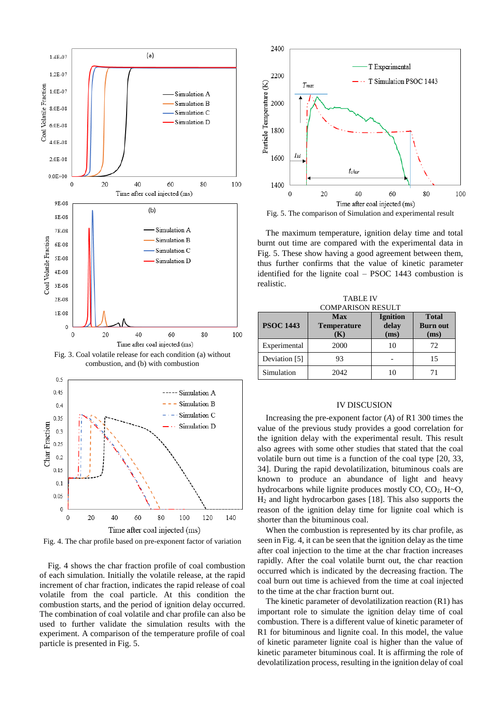

<span id="page-4-0"></span>Fig. 3. Coal volatile release for each condition (a) without combustion, and (b) with combustion



<span id="page-4-1"></span>Fig. 4. The char profile based on pre-exponent factor of variation

[Fig. 4](#page-4-1) shows the char fraction profile of coal combustion of each simulation. Initially the volatile release, at the rapid increment of char fraction, indicates the rapid release of coal volatile from the coal particle. At this condition the combustion starts, and the period of ignition delay occurred. The combination of coal volatile and char profile can also be used to further validate the simulation results with the experiment. A comparison of the temperature profile of coal particle is presented i[n Fig. 5.](#page-4-2)



<span id="page-4-2"></span>Fig. 5. The comparison of Simulation and experimental result

The maximum temperature, ignition delay time and total burnt out time are compared with the experimental data in [Fig. 5.](#page-4-2) These show having a good agreement between them, thus further confirms that the value of kinetic parameter identified for the lignite coal – PSOC 1443 combustion is realistic.

| <b>COMPARISON RESULT</b> |                                  |                                  |                                         |  |
|--------------------------|----------------------------------|----------------------------------|-----------------------------------------|--|
| <b>PSOC 1443</b>         | Max<br><b>Temperature</b><br>(K) | <b>Ignition</b><br>delay<br>(ms) | <b>Total</b><br><b>Burn out</b><br>(ms) |  |
| Experimental             | 2000                             | 10                               | 72                                      |  |
| Deviation [5]            | 93                               |                                  | 15                                      |  |
| Simulation               | 2042                             |                                  |                                         |  |

TABLE IV

# IV DISCUSION

Increasing the pre-exponent factor (*A*) o[f R1](#page-2-0) 300 times the value of the previous study provides a good correlation for the ignition delay with the experimental result. This result also agrees with some other studies that stated that the coal volatile burn out time is a function of the coal type [\[20,](#page-6-0) [33,](#page-6-13) [34\]](#page-6-14). During the rapid devolatilization, bituminous coals are known to produce an abundance of light and heavy hydrocarbons while lignite produces mostly  $CO$ ,  $CO<sub>2</sub>$ ,  $H<sub>o</sub>O$ , H<sup>2</sup> and light hydrocarbon gases [\[18\]](#page-5-16). This also supports the reason of the ignition delay time for lignite coal which is shorter than the bituminous coal.

When the combustion is represented by its char profile, as seen i[n Fig. 4,](#page-4-1) it can be seen that the ignition delay as the time after coal injection to the time at the char fraction increases rapidly. After the coal volatile burnt out, the char reaction occurred which is indicated by the decreasing fraction. The coal burn out time is achieved from the time at coal injected to the time at the char fraction burnt out.

The kinetic parameter of devolatilization reaction [\(R1\)](#page-2-0) has important role to simulate the ignition delay time of coal combustion. There is a different value of kinetic parameter of [R1](#page-2-0) for bituminous and lignite coal. In this model, the value of kinetic parameter lignite coal is higher than the value of kinetic parameter bituminous coal. It is affirming the role of devolatilization process, resulting in the ignition delay of coal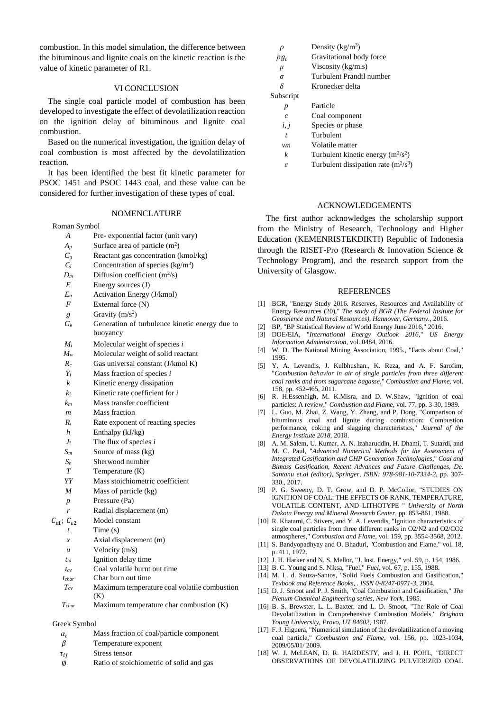combustion. In this model simulation, the difference between the bituminous and lignite coals on the kinetic reaction is the value of kinetic parameter of [R1.](#page-2-0)

# VI CONCLUSION

The single coal particle model of combustion has been developed to investigate the effect of devolatilization reaction on the ignition delay of bituminous and lignite coal combustion.

Based on the numerical investigation, the ignition delay of coal combustion is most affected by the devolatilization reaction.

It has been identified the best fit kinetic parameter for PSOC 1451 and PSOC 1443 coal, and these value can be considered for further investigation of these types of coal.

### NOMENCLATURE

Roman Symbol

- *A* Pre- exponential factor (unit vary)
- $A_p$  Surface area of particle  $(m^2)$
- $C<sub>g</sub>$  Reactant gas concentration (kmol/kg)
- $C_i$  Concentration of species (kg/m<sup>3</sup>)
- $D_m$  Diffusion coefficient (m<sup>2</sup>/s)
- *E* Energy sources (J)
- *E<sup>a</sup>* Activation Energy (J/kmol)
- *F* External force (N)
- *g* Gravity  $(m/s^2)$
- *G<sub>k</sub>* Generation of turbulence kinetic energy due to buoyancy
- *M<sup>i</sup>* Molecular weight of species *i*
- *M<sup>w</sup>* Molecular weight of solid reactant
- *R<sup>c</sup>* Gas universal constant (J/kmol K)
- *Y<sup>i</sup>* Mass fraction of species *i*
- *k* Kinetic energy dissipation
- *k<sup>i</sup>* Kinetic rate coefficient for *i*
- *k<sup>m</sup>* Mass transfer coefficient
- *m* Mass fraction
- *R<sup>i</sup>* Rate exponent of reacting species
- *h* Enthalpy (kJ/kg)
- *J<sup>i</sup>* The flux of species *i*
- *S<sup>m</sup>* Source of mass (kg)
- *S<sup>h</sup>* Sherwood number
- *T* Temperature (K)
- *YY* Mass stoichiometric coefficient
- *M* Mass of particle (kg)
- *p* Pressure (Pa)
- Radial displacement (m)
- $C_{\epsilon 1}$ ;  $C_{\epsilon 2}$  Model constant
	- Time (s)
	- *x* Axial displacement (m)
	- *u* Velocity (m/s)
	- *tid* Ignition delay time
	- *tcv* Coal volatile burnt out time
	- *tchar* Char burn out time
	- *Tcv* Maximum temperature coal volatile combustion  $(K)$
	- *Tchar* Maximum temperature char combustion (K)

# Greek Symbol

- $\alpha_i$  Mass fraction of coal/particle component
- $\beta$  Temperature exponent
- $\tau_{ii}$  Stress tensor
- ∅ Ratio of stoichiometric of solid and gas

| ρ                | Density $(kg/m^3)$                     |  |
|------------------|----------------------------------------|--|
| $\rho g_i$       | Gravitational body force               |  |
| $\mu$            | Viscosity (kg/m.s)                     |  |
| σ                | Turbulent Prandtl number               |  |
| δ                | Kronecker delta                        |  |
| Subscript        |                                        |  |
| p                | Particle                               |  |
| $\mathcal{C}$    | Coal component                         |  |
| i, j             | Species or phase                       |  |
| $\boldsymbol{t}$ | Turbulent                              |  |
| νm               | Volatile matter                        |  |
| k                | Turbulent kinetic energy $(m^2/s^2)$   |  |
| ε                | Turbulent dissipation rate $(m^2/s^3)$ |  |

# ACKNOWLEDGEMENTS

The first author acknowledges the scholarship support from the Ministry of Research, Technology and Higher Education (KEMENRISTEKDIKTI) Republic of Indonesia through the RISET-Pro (Research & Innovation Science & Technology Program), and the research support from the University of Glasgow.

#### **REFERENCES**

- <span id="page-5-0"></span>[1] BGR, "Energy Study 2016. Reserves, Resources and Availability of Energy Resources (20)," *The study of BGR (The Federal Insitute for Geoscience and Natural Resources), Hannover, Germany.,* 2016.
- <span id="page-5-1"></span>[2] BP, "BP Statistical Review of World Energy June 2016," 2016.
- <span id="page-5-2"></span>[3] DOE/EIA, "*International Energy Outlook 2016*," *US Energy Information Administration,* vol. 0484, 2016.
- <span id="page-5-3"></span>[4] W. D. The National Mining Association, 1995., "Facts about Coal," 1995.
- <span id="page-5-4"></span>[5] Y. A. Levendis, J. Kulbhushan., K. Reza, and A. F. Sarofim, "*Combustion behavior in air of single particles from three different coal ranks and from sugarcane bagasse*," *Combustion and Flame,* vol. 158, pp. 452-465, 2011.
- <span id="page-5-5"></span>[6] R. H.Essenhigh, M. K.Misra, and D. W.Shaw, "Ignition of coal particles: A review," *Combustion and Flame,* vol. 77, pp. 3-30, 1989.
- <span id="page-5-6"></span>[7] L. Guo, M. Zhai, Z. Wang, Y. Zhang, and P. Dong, "Comparison of bituminous coal and lignite during combustion: Combustion performance, coking and slagging characteristics," *Journal of the Energy Institute 2018,* 2018.
- <span id="page-5-7"></span>[8] A. M. Salem, U. Kumar, A. N. Izaharuddin, H. Dhami, T. Sutardi, and M. C. Paul, "*Advanced Numerical Methods for the Assessment of Integrated Gasification and CHP Generation Technologies*," *Coal and Bimass Gasification, Recent Advances and Future Challenges, De. Santanu et.al (editor), Springer, ISBN: 978-981-10-7334-2,* pp. 307- 330., 2017.
- <span id="page-5-8"></span>[9] P. G. Sweeny, D. T. Grow, and D. P. McCollor, "STUDIES ON IGNITION OF COAL: THE EFFECTS OF RANK, TEMPERATURE, VOLATILE CONTENT, AND LITHOTYPE " *University of North Dakota Energy and Mineral Research Center,* pp. 853-861, 1988.
- <span id="page-5-9"></span>[10] R. Khatami, C. Stivers, and Y. A. Levendis, "Ignition characteristics of single coal particles from three different ranks in O2/N2 and O2/CO2 atmospheres," *Combustion and Flame,* vol. 159, pp. 3554-3568, 2012.
- <span id="page-5-10"></span>[11] S. Bandyopadhyay and O. Bhaduri, "Combustion and Flame," vol. 18, p. 411, 1972.
- <span id="page-5-11"></span>[12] J. H. Harker and N. S. Mellor, "J. Inst. Energy," vol. 59, p. 154, 1986.
- <span id="page-5-12"></span>[13] B. C. Young and S. Niksa, "Fuel," *Fuel,* vol. 67, p. 155, 1988.
- <span id="page-5-13"></span>[14] M. L. d. Sauza-Santos, "Solid Fuels Combustion and Gasification," *Texbook and Reference Books, . ISSN 0-8247-0971-3,* 2004.
- <span id="page-5-14"></span>[15] D. J. Smoot and P. J. Smith, "Coal Combustion and Gasification," *The Plenum Chemical Engineering series, New York,* 1985.
- <span id="page-5-15"></span>[16] B. S. Brewster, L. L. Baxter, and L. D. Smoot, "The Role of Coal Devolatilization in Comprehensive Combustion Models," *Brigham Young University, Provo, UT 84602,* 1987.
- [17] F. J. Higuera, "Numerical simulation of the devolatilization of a moving coal particle," *Combustion and Flame,* vol. 156, pp. 1023-1034, 2009/05/01/ 2009.
- <span id="page-5-16"></span>[18] W. J. McLEAN, D. R. HARDESTY, and J. H. POHL, "DIRECT OBSERVATIONS OF DEVOLATILIZING PULVERIZED COAL